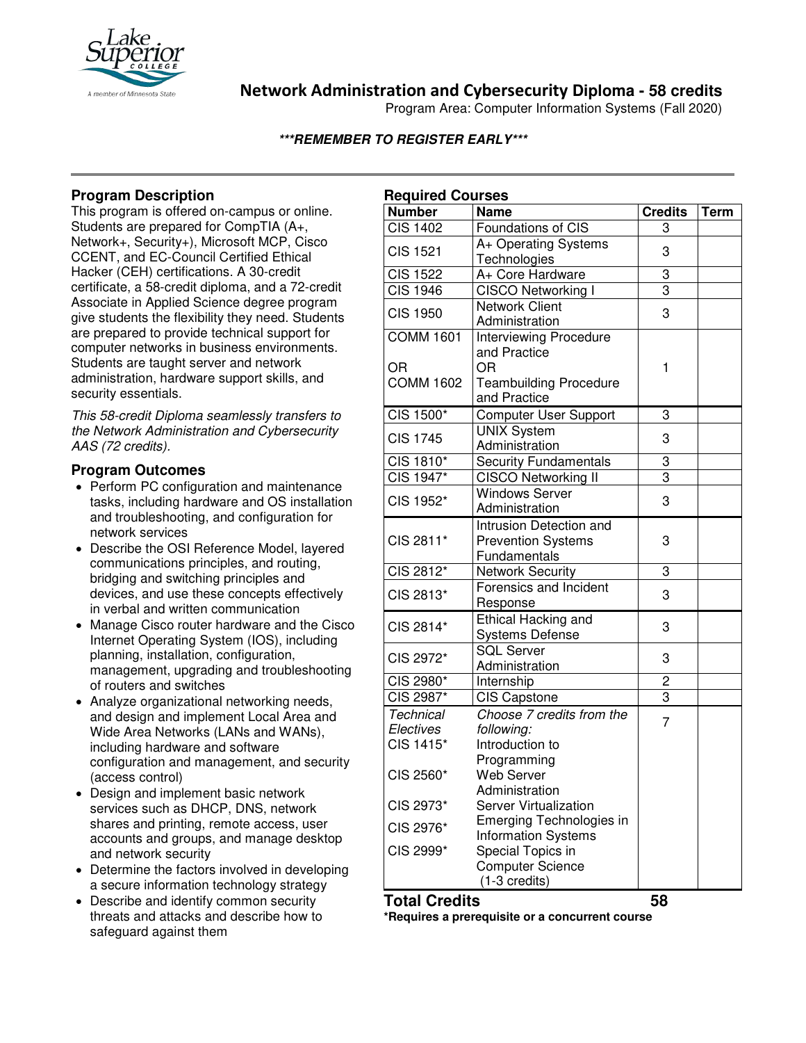

**Network Administration and Cybersecurity Diploma - 58 credits**

Program Area: Computer Information Systems (Fall 2020)

## **\*\*\*REMEMBER TO REGISTER EARLY\*\*\***

# **Program Description**

This program is offered on-campus or online. Students are prepared for CompTIA (A+, Network+, Security+), Microsoft MCP, Cisco CCENT, and EC-Council Certified Ethical Hacker (CEH) certifications. A 30-credit certificate, a 58-credit diploma, and a 72-credit Associate in Applied Science degree program give students the flexibility they need. Students are prepared to provide technical support for computer networks in business environments. Students are taught server and network administration, hardware support skills, and security essentials.

*This 58-credit Diploma seamlessly transfers to the Network Administration and Cybersecurity AAS (72 credits).*

## **Program Outcomes**

- Perform PC configuration and maintenance tasks, including hardware and OS installation and troubleshooting, and configuration for network services
- Describe the OSI Reference Model, layered communications principles, and routing, bridging and switching principles and devices, and use these concepts effectively in verbal and written communication
- Manage Cisco router hardware and the Cisco Internet Operating System (IOS), including planning, installation, configuration, management, upgrading and troubleshooting of routers and switches
- Analyze organizational networking needs, and design and implement Local Area and Wide Area Networks (LANs and WANs), including hardware and software configuration and management, and security (access control)
- Design and implement basic network services such as DHCP, DNS, network shares and printing, remote access, user accounts and groups, and manage desktop and network security
- Determine the factors involved in developing a secure information technology strategy
- Describe and identify common security threats and attacks and describe how to safeguard against them

| <b>Required Courses</b> |                               |                |             |
|-------------------------|-------------------------------|----------------|-------------|
| <b>Number</b>           | <b>Name</b>                   | <b>Credits</b> | <b>Term</b> |
| <b>CIS 1402</b>         | Foundations of CIS            | 3              |             |
| <b>CIS 1521</b>         | A+ Operating Systems          | 3              |             |
|                         | Technologies                  |                |             |
| <b>CIS 1522</b>         | A+ Core Hardware              | 3              |             |
| <b>CIS 1946</b>         | CISCO Networking I            | 3              |             |
| <b>CIS 1950</b>         | <b>Network Client</b>         | 3              |             |
|                         | Administration                |                |             |
| <b>COMM 1601</b>        | <b>Interviewing Procedure</b> |                |             |
|                         | and Practice                  |                |             |
| <b>OR</b>               | <b>OR</b>                     | 1              |             |
| <b>COMM 1602</b>        | <b>Teambuilding Procedure</b> |                |             |
|                         | and Practice                  |                |             |
| CIS 1500*               | <b>Computer User Support</b>  | 3              |             |
| <b>CIS 1745</b>         | <b>UNIX System</b>            | 3              |             |
|                         | Administration                |                |             |
| CIS 1810*               | <b>Security Fundamentals</b>  | 3              |             |
| CIS 1947*               | <b>CISCO Networking II</b>    | $\overline{3}$ |             |
| CIS 1952*               | <b>Windows Server</b>         | 3              |             |
|                         | Administration                |                |             |
| CIS 2811*               | Intrusion Detection and       |                |             |
|                         | <b>Prevention Systems</b>     | 3              |             |
|                         | Fundamentals                  |                |             |
| CIS 2812*               | <b>Network Security</b>       | 3              |             |
| CIS 2813*               | Forensics and Incident        | 3              |             |
|                         | Response                      |                |             |
| CIS 2814*               | Ethical Hacking and           | 3              |             |
|                         | <b>Systems Defense</b>        |                |             |
| CIS 2972*               | <b>SQL Server</b>             | 3              |             |
|                         | Administration                |                |             |
| CIS 2980*               | Internship                    | 2              |             |
| CIS 2987*               | CIS Capstone                  | 3              |             |
| <b>Technical</b>        | Choose 7 credits from the     | $\overline{7}$ |             |
| Electives               | following:                    |                |             |
| CIS 1415*               | Introduction to               |                |             |
| CIS 2560*               | Programming                   |                |             |
|                         | Web Server                    |                |             |
|                         | Administration                |                |             |
| CIS 2973*               | <b>Server Virtualization</b>  |                |             |
| CIS 2976*               | Emerging Technologies in      |                |             |
|                         | <b>Information Systems</b>    |                |             |
| CIS 2999*               | Special Topics in             |                |             |
|                         | <b>Computer Science</b>       |                |             |
|                         | $(1-3$ credits)               |                |             |

## **Total Credits 58**

**\*Requires a prerequisite or a concurrent course**